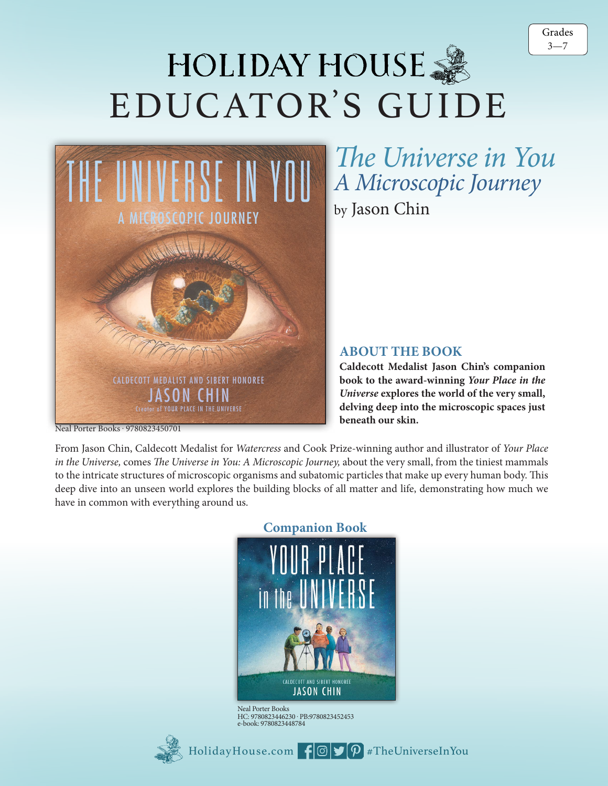

## HOLIDAY HOUSE 3 EDUCATOR'S GUIDE



The Calliope Hummingbird is the smallest bird in the United *A Microscopic Journey* by Jason Chin *The Universe in You*

## **ABOUT THE BOOK**

beneath our skin. **Caldecott Medalist Jason Chin's companion** book to the award-winning Your Place in the *Universe* explores the world of the very small, **delving deep into the microscopic spaces just** 

Neal Porter Books . 9780823450701

*in the Universe,* comes *The Universe in You: A Microscopic Journey,* about the very small, from the tiniest mammals From Jason Chin, Caldecott Medalist for *Watercress* and Cook Prize-winning author and illustrator of *Your Place*  to the intricate structures of microscopic organisms and subatomic particles that make up every human body. This deep dive into an unseen world explores the building blocks of all matter and life, demonstrating how much we have in common with everything around us.



Neal Porter Books HC: 9780823446230 . PB:9780823452453 e-book: 9780823448784